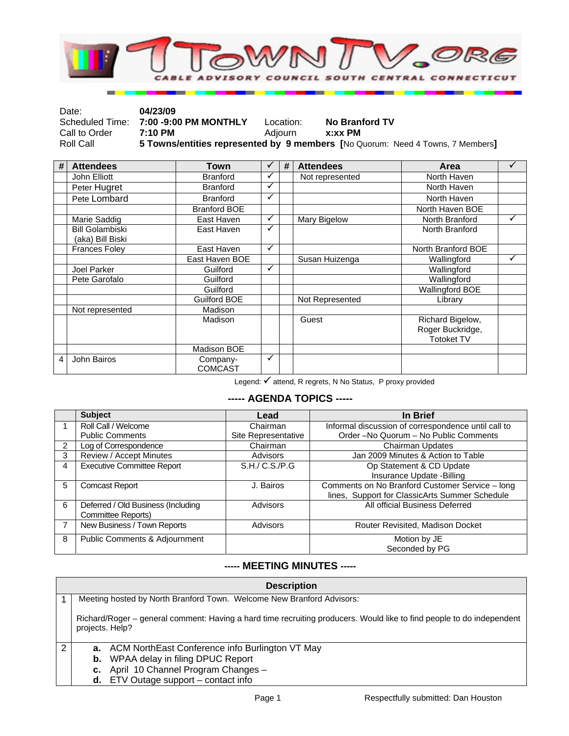

| Date:         | 04/23/09                              |           |                                                                                |
|---------------|---------------------------------------|-----------|--------------------------------------------------------------------------------|
|               | Scheduled Time: 7:00 -9:00 PM MONTHLY | Location: | No Branford TV                                                                 |
| Call to Order | 7:10 PM                               | Adiourn   | x:xx PM                                                                        |
| Roll Call     |                                       |           | 5 Towns/entities represented by 9 members [No Quorum: Need 4 Towns, 7 Members] |

| # | <b>Attendees</b>                           | Town                       | ✓            | # | <b>Attendees</b> | Area                                                      |              |
|---|--------------------------------------------|----------------------------|--------------|---|------------------|-----------------------------------------------------------|--------------|
|   | John Elliott                               | <b>Branford</b>            | ✓            |   | Not represented  | North Haven                                               |              |
|   | Peter Hugret                               | <b>Branford</b>            | ✓            |   |                  | North Haven                                               |              |
|   | Pete Lombard                               | <b>Branford</b>            | $\checkmark$ |   |                  | North Haven                                               |              |
|   |                                            | <b>Branford BOE</b>        |              |   |                  | North Haven BOE                                           |              |
|   | Marie Saddig                               | East Haven                 | $\checkmark$ |   | Mary Bigelow     | North Branford                                            | $\checkmark$ |
|   | <b>Bill Golambiski</b><br>(aka) Bill Biski | East Haven                 | ✓            |   |                  | North Branford                                            |              |
|   | <b>Frances Foley</b>                       | East Haven                 | $\checkmark$ |   |                  | North Branford BOE                                        |              |
|   |                                            | East Haven BOE             |              |   | Susan Huizenga   | Wallingford                                               | ✔            |
|   | Joel Parker                                | Guilford                   | $\checkmark$ |   |                  | Wallingford                                               |              |
|   | Pete Garofalo                              | Guilford                   |              |   |                  | Wallingford                                               |              |
|   |                                            | Guilford                   |              |   |                  | <b>Wallingford BOE</b>                                    |              |
|   |                                            | Guilford BOE               |              |   | Not Represented  | Library                                                   |              |
|   | Not represented                            | Madison                    |              |   |                  |                                                           |              |
|   |                                            | Madison                    |              |   | Guest            | Richard Bigelow,<br>Roger Buckridge,<br><b>Totoket TV</b> |              |
|   |                                            | Madison BOE                |              |   |                  |                                                           |              |
| 4 | John Bairos                                | Company-<br><b>COMCAST</b> | $\checkmark$ |   |                  |                                                           |              |

Legend:  $\checkmark$  attend, R regrets, N No Status, P proxy provided

## **----- AGENDA TOPICS -----**

|                | <b>Subject</b>                     | Lead                | In Brief                                            |
|----------------|------------------------------------|---------------------|-----------------------------------------------------|
|                | Roll Call / Welcome                | Chairman            | Informal discussion of correspondence until call to |
|                | <b>Public Comments</b>             | Site Representative | Order -No Quorum - No Public Comments               |
| $\overline{2}$ | Log of Correspondence              | Chairman            | Chairman Updates                                    |
| 3              | Review / Accept Minutes            | <b>Advisors</b>     | Jan 2009 Minutes & Action to Table                  |
| 4              | <b>Executive Committee Report</b>  | S.H./ C.S./P.G      | Op Statement & CD Update                            |
|                |                                    |                     | Insurance Update -Billing                           |
| 5              | <b>Comcast Report</b>              | J. Bairos           | Comments on No Branford Customer Service - long     |
|                |                                    |                     | lines, Support for ClassicArts Summer Schedule      |
| 6              | Deferred / Old Business (Including | Advisors            | All official Business Deferred                      |
|                | Committee Reports)                 |                     |                                                     |
|                | New Business / Town Reports        | Advisors            | Router Revisited, Madison Docket                    |
| 8              | Public Comments & Adjournment      |                     | Motion by JE                                        |
|                |                                    |                     | Seconded by PG                                      |

## **----- MEETING MINUTES -----**

|   | <b>Description</b>                                                                                                                       |
|---|------------------------------------------------------------------------------------------------------------------------------------------|
|   | Meeting hosted by North Branford Town. Welcome New Branford Advisors:                                                                    |
|   | Richard/Roger – general comment: Having a hard time recruiting producers. Would like to find people to do independent<br>projects. Help? |
| ◠ | a. ACM NorthEast Conference info Burlington VT May                                                                                       |
|   | <b>b.</b> WPAA delay in filing DPUC Report                                                                                               |
|   | c. April 10 Channel Program Changes -                                                                                                    |
|   | <b>d.</b> ETV Outage support $-$ contact info                                                                                            |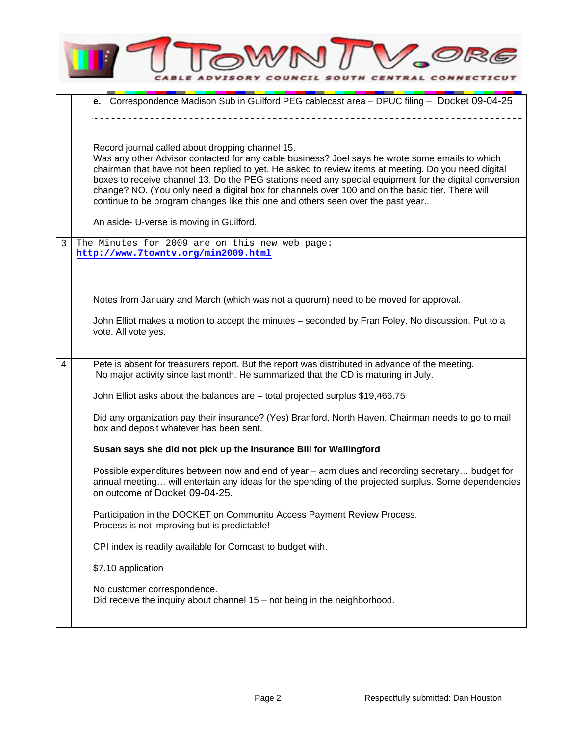|   | <b>VCIL SOUTH</b><br><b>CENTRAL CONNECT</b>                                                                                                                                                                                                                                                                                                                                                                                                                                                                                                                  |
|---|--------------------------------------------------------------------------------------------------------------------------------------------------------------------------------------------------------------------------------------------------------------------------------------------------------------------------------------------------------------------------------------------------------------------------------------------------------------------------------------------------------------------------------------------------------------|
|   | e. Correspondence Madison Sub in Guilford PEG cablecast area - DPUC filing - Docket 09-04-25                                                                                                                                                                                                                                                                                                                                                                                                                                                                 |
|   |                                                                                                                                                                                                                                                                                                                                                                                                                                                                                                                                                              |
|   | Record journal called about dropping channel 15.<br>Was any other Advisor contacted for any cable business? Joel says he wrote some emails to which<br>chairman that have not been replied to yet. He asked to review items at meeting. Do you need digital<br>boxes to receive channel 13. Do the PEG stations need any special equipment for the digital conversion<br>change? NO. (You only need a digital box for channels over 100 and on the basic tier. There will<br>continue to be program changes like this one and others seen over the past year |
|   | An aside- U-verse is moving in Guilford.                                                                                                                                                                                                                                                                                                                                                                                                                                                                                                                     |
| 3 | The Minutes for 2009 are on this new web page:<br>http://www.7towntv.org/min2009.html                                                                                                                                                                                                                                                                                                                                                                                                                                                                        |
|   |                                                                                                                                                                                                                                                                                                                                                                                                                                                                                                                                                              |
|   | Notes from January and March (which was not a quorum) need to be moved for approval.                                                                                                                                                                                                                                                                                                                                                                                                                                                                         |
|   | John Elliot makes a motion to accept the minutes - seconded by Fran Foley. No discussion. Put to a<br>vote. All vote yes.                                                                                                                                                                                                                                                                                                                                                                                                                                    |
| 4 | Pete is absent for treasurers report. But the report was distributed in advance of the meeting.<br>No major activity since last month. He summarized that the CD is maturing in July.                                                                                                                                                                                                                                                                                                                                                                        |
|   | John Elliot asks about the balances are - total projected surplus \$19,466.75                                                                                                                                                                                                                                                                                                                                                                                                                                                                                |
|   | Did any organization pay their insurance? (Yes) Branford, North Haven. Chairman needs to go to mail<br>box and deposit whatever has been sent.                                                                                                                                                                                                                                                                                                                                                                                                               |
|   | Susan says she did not pick up the insurance Bill for Wallingford                                                                                                                                                                                                                                                                                                                                                                                                                                                                                            |
|   | Possible expenditures between now and end of year - acm dues and recording secretary budget for<br>annual meeting will entertain any ideas for the spending of the projected surplus. Some dependencies<br>on outcome of Docket 09-04-25.                                                                                                                                                                                                                                                                                                                    |
|   | Participation in the DOCKET on Communitu Access Payment Review Process.<br>Process is not improving but is predictable!                                                                                                                                                                                                                                                                                                                                                                                                                                      |
|   | CPI index is readily available for Comcast to budget with.                                                                                                                                                                                                                                                                                                                                                                                                                                                                                                   |
|   | \$7.10 application                                                                                                                                                                                                                                                                                                                                                                                                                                                                                                                                           |
|   | No customer correspondence.<br>Did receive the inquiry about channel $15 -$ not being in the neighborhood.                                                                                                                                                                                                                                                                                                                                                                                                                                                   |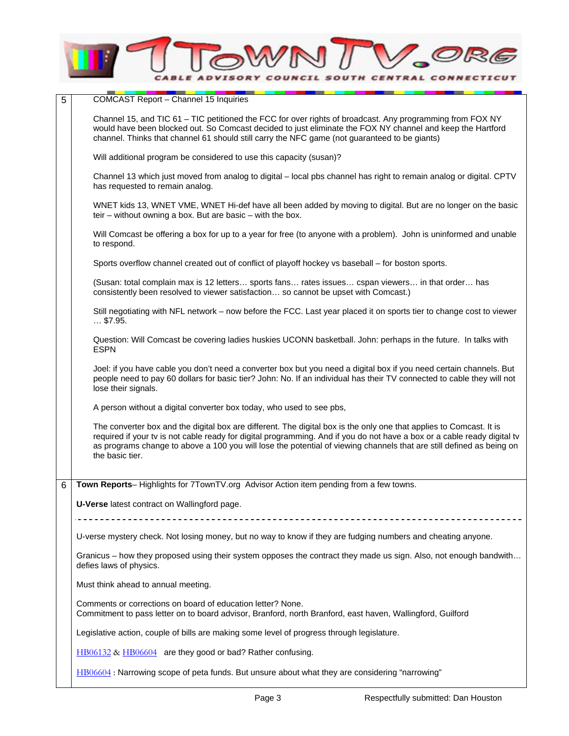

| 5 | <b>COMCAST Report - Channel 15 Inquiries</b>                                                                                                                                                                                                                                                                                                                                               |
|---|--------------------------------------------------------------------------------------------------------------------------------------------------------------------------------------------------------------------------------------------------------------------------------------------------------------------------------------------------------------------------------------------|
|   | Channel 15, and TIC 61 – TIC petitioned the FCC for over rights of broadcast. Any programming from FOX NY<br>would have been blocked out. So Comcast decided to just eliminate the FOX NY channel and keep the Hartford<br>channel. Thinks that channel 61 should still carry the NFC game (not guaranteed to be giants)                                                                   |
|   | Will additional program be considered to use this capacity (susan)?                                                                                                                                                                                                                                                                                                                        |
|   | Channel 13 which just moved from analog to digital – local pbs channel has right to remain analog or digital. CPTV<br>has requested to remain analog.                                                                                                                                                                                                                                      |
|   | WNET kids 13, WNET VME, WNET Hi-def have all been added by moving to digital. But are no longer on the basic<br>teir – without owning a box. But are basic – with the box.                                                                                                                                                                                                                 |
|   | Will Comcast be offering a box for up to a year for free (to anyone with a problem). John is uninformed and unable<br>to respond.                                                                                                                                                                                                                                                          |
|   | Sports overflow channel created out of conflict of playoff hockey vs baseball – for boston sports.                                                                                                                                                                                                                                                                                         |
|   | (Susan: total complain max is 12 letters sports fans rates issues cspan viewers in that order has<br>consistently been resolved to viewer satisfaction so cannot be upset with Comcast.)                                                                                                                                                                                                   |
|   | Still negotiating with NFL network – now before the FCC. Last year placed it on sports tier to change cost to viewer<br>$$ \$7.95.                                                                                                                                                                                                                                                         |
|   | Question: Will Comcast be covering ladies huskies UCONN basketball. John: perhaps in the future. In talks with<br><b>ESPN</b>                                                                                                                                                                                                                                                              |
|   | Joel: if you have cable you don't need a converter box but you need a digital box if you need certain channels. But<br>people need to pay 60 dollars for basic tier? John: No. If an individual has their TV connected to cable they will not<br>lose their signals.                                                                                                                       |
|   | A person without a digital converter box today, who used to see pbs,                                                                                                                                                                                                                                                                                                                       |
|   | The converter box and the digital box are different. The digital box is the only one that applies to Comcast. It is<br>required if your tv is not cable ready for digital programming. And if you do not have a box or a cable ready digital tv<br>as programs change to above a 100 you will lose the potential of viewing channels that are still defined as being on<br>the basic tier. |
|   |                                                                                                                                                                                                                                                                                                                                                                                            |
| 6 | Town Reports– Highlights for 7TownTV.org Advisor Action item pending from a few towns.                                                                                                                                                                                                                                                                                                     |
|   | U-Verse latest contract on Wallingford page.                                                                                                                                                                                                                                                                                                                                               |
|   |                                                                                                                                                                                                                                                                                                                                                                                            |
|   | U-verse mystery check. Not losing money, but no way to know if they are fudging numbers and cheating anyone.                                                                                                                                                                                                                                                                               |
|   | Granicus – how they proposed using their system opposes the contract they made us sign. Also, not enough bandwith<br>defies laws of physics.                                                                                                                                                                                                                                               |
|   | Must think ahead to annual meeting.                                                                                                                                                                                                                                                                                                                                                        |
|   | Comments or corrections on board of education letter? None.<br>Commitment to pass letter on to board advisor, Branford, north Branford, east haven, Wallingford, Guilford                                                                                                                                                                                                                  |
|   | Legislative action, couple of bills are making some level of progress through legislature.                                                                                                                                                                                                                                                                                                 |
|   | HB06132 & HB06604 are they good or bad? Rather confusing.                                                                                                                                                                                                                                                                                                                                  |
|   | HB06604: Narrowing scope of peta funds. But unsure about what they are considering "narrowing"                                                                                                                                                                                                                                                                                             |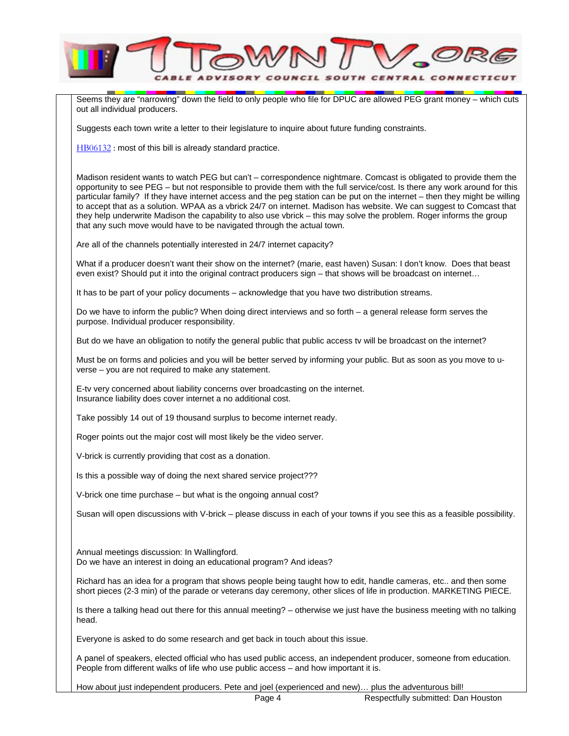

Seems they are "narrowing" down the field to only people who file for DPUC are allowed PEG grant money – which cuts out all individual producers.

Suggests each town write a letter to their legislature to inquire about future funding constraints.

HB06132 : most of this bill is already standard practice.

Madison resident wants to watch PEG but can't – correspondence nightmare. Comcast is obligated to provide them the opportunity to see PEG – but not responsible to provide them with the full service/cost. Is there any work around for this particular family? If they have internet access and the peg station can be put on the internet – then they might be willing to accept that as a solution. WPAA as a vbrick 24/7 on internet. Madison has website. We can suggest to Comcast that they help underwrite Madison the capability to also use vbrick – this may solve the problem. Roger informs the group that any such move would have to be navigated through the actual town.

Are all of the channels potentially interested in 24/7 internet capacity?

What if a producer doesn't want their show on the internet? (marie, east haven) Susan: I don't know. Does that beast even exist? Should put it into the original contract producers sign – that shows will be broadcast on internet…

It has to be part of your policy documents – acknowledge that you have two distribution streams.

Do we have to inform the public? When doing direct interviews and so forth – a general release form serves the purpose. Individual producer responsibility.

But do we have an obligation to notify the general public that public access ty will be broadcast on the internet?

Must be on forms and policies and you will be better served by informing your public. But as soon as you move to uverse – you are not required to make any statement.

E-tv very concerned about liability concerns over broadcasting on the internet. Insurance liability does cover internet a no additional cost.

Take possibly 14 out of 19 thousand surplus to become internet ready.

Roger points out the major cost will most likely be the video server.

V-brick is currently providing that cost as a donation.

Is this a possible way of doing the next shared service project???

V-brick one time purchase – but what is the ongoing annual cost?

Susan will open discussions with V-brick – please discuss in each of your towns if you see this as a feasible possibility.

Annual meetings discussion: In Wallingford. Do we have an interest in doing an educational program? And ideas?

Richard has an idea for a program that shows people being taught how to edit, handle cameras, etc.. and then some short pieces (2-3 min) of the parade or veterans day ceremony, other slices of life in production. MARKETING PIECE.

Is there a talking head out there for this annual meeting? – otherwise we just have the business meeting with no talking head.

Everyone is asked to do some research and get back in touch about this issue.

A panel of speakers, elected official who has used public access, an independent producer, someone from education. People from different walks of life who use public access – and how important it is.

How about just independent producers. Pete and joel (experienced and new)… plus the adventurous bill!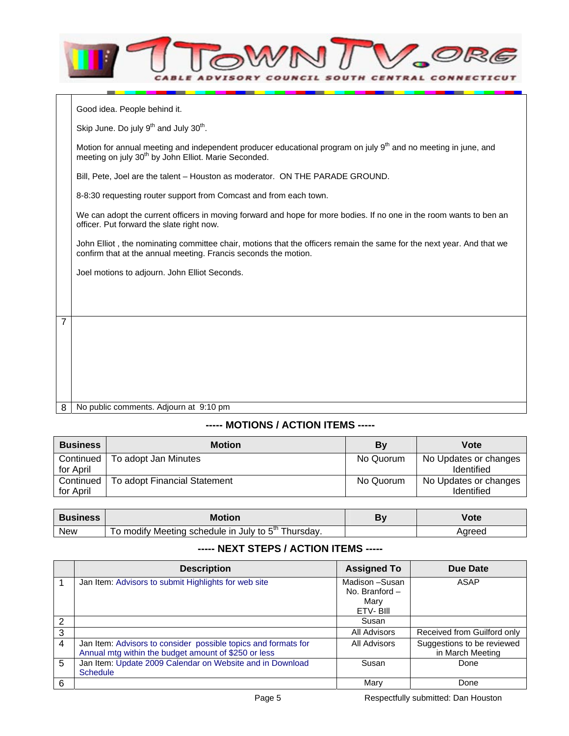|                | MWK                                                                                                                                                                                            |
|----------------|------------------------------------------------------------------------------------------------------------------------------------------------------------------------------------------------|
|                | Good idea. People behind it.                                                                                                                                                                   |
|                | Skip June. Do july 9 <sup>th</sup> and July 30 <sup>th</sup> .                                                                                                                                 |
|                | Motion for annual meeting and independent producer educational program on july 9 <sup>th</sup> and no meeting in june, and<br>meeting on july 30 <sup>th</sup> by John Elliot. Marie Seconded. |
|                | Bill, Pete, Joel are the talent - Houston as moderator. ON THE PARADE GROUND.                                                                                                                  |
|                | 8-8:30 requesting router support from Comcast and from each town.                                                                                                                              |
|                | We can adopt the current officers in moving forward and hope for more bodies. If no one in the room wants to ben an<br>officer. Put forward the slate right now.                               |
|                | John Elliot, the nominating committee chair, motions that the officers remain the same for the next year. And that we<br>confirm that at the annual meeting. Francis seconds the motion.       |
|                | Joel motions to adjourn. John Elliot Seconds.                                                                                                                                                  |
|                |                                                                                                                                                                                                |
|                |                                                                                                                                                                                                |
| $\overline{7}$ |                                                                                                                                                                                                |
|                |                                                                                                                                                                                                |
|                |                                                                                                                                                                                                |

8 No public comments. Adjourn at 9:10 pm

## **----- MOTIONS / ACTION ITEMS -----**

| <b>Business</b>        | <b>Motion</b>                | Bv        | Vote                                       |
|------------------------|------------------------------|-----------|--------------------------------------------|
| Continued<br>for April | To adopt Jan Minutes         | No Quorum | No Updates or changes<br>Identified        |
| Continued<br>for April | To adopt Financial Statement | No Quorum | No Updates or changes<br><b>Identified</b> |

| <b>Business</b> | <b>Motion</b>                                                           | Vote   |
|-----------------|-------------------------------------------------------------------------|--------|
| <b>New</b>      | Thursday.<br>' Meeting schedule in July to $5^{\mathsf{m}}$ '<br>modify | Aareec |

## **----- NEXT STEPS / ACTION ITEMS -----**

|   | <b>Description</b>                                                                                                     | <b>Assigned To</b>                                  | Due Date                                       |
|---|------------------------------------------------------------------------------------------------------------------------|-----------------------------------------------------|------------------------------------------------|
|   | Jan Item: Advisors to submit Highlights for web site                                                                   | Madison -Susan<br>No. Branford-<br>Marv<br>ETV-BIII | ASAP                                           |
| 2 |                                                                                                                        | Susan                                               |                                                |
| 3 |                                                                                                                        | All Advisors                                        | Received from Guilford only                    |
| 4 | Jan Item: Advisors to consider possible topics and formats for<br>Annual mtg within the budget amount of \$250 or less | <b>All Advisors</b>                                 | Suggestions to be reviewed<br>in March Meeting |
| 5 | Jan Item: Update 2009 Calendar on Website and in Download<br><b>Schedule</b>                                           | Susan                                               | Done                                           |
| 6 |                                                                                                                        | Mary                                                | Done                                           |